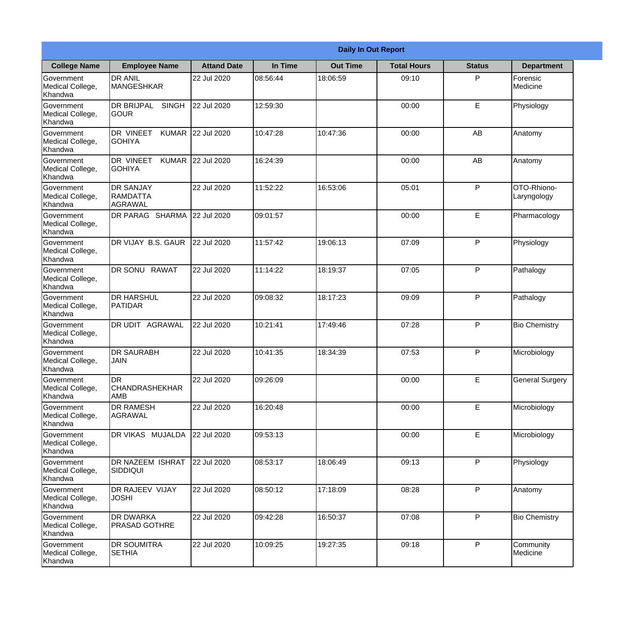|                                                  |                                            |                    |          | <b>Daily In Out Report</b> |                    |               |                            |
|--------------------------------------------------|--------------------------------------------|--------------------|----------|----------------------------|--------------------|---------------|----------------------------|
| <b>College Name</b>                              | <b>Employee Name</b>                       | <b>Attand Date</b> | In Time  | <b>Out Time</b>            | <b>Total Hours</b> | <b>Status</b> | <b>Department</b>          |
| Government<br>Medical College,<br>Khandwa        | <b>DR ANIL</b><br><b>MANGESHKAR</b>        | 22 Jul 2020        | 08:56:44 | 18:06:59                   | 09:10              | P             | Forensic<br>Medicine       |
| Government<br>Medical College,<br>Khandwa        | <b>DR BRIJPAL</b><br><b>SINGH</b><br> GOUR | 22 Jul 2020        | 12:59:30 |                            | 00:00              | E             | Physiology                 |
| <b>Government</b><br>Medical College,<br>Khandwa | DR VINEET<br><b>KUMAR</b><br><b>GOHIYA</b> | 22 Jul 2020        | 10:47:28 | 10:47:36                   | 00:00              | AB            | Anatomy                    |
| Government<br>Medical College,<br>Khandwa        | <b>DR VINEET</b><br><b>GOHIYA</b>          | KUMAR 22 Jul 2020  | 16:24:39 |                            | 00:00              | AB            | Anatomy                    |
| Government<br>Medical College,<br>Khandwa        | <b>DR SANJAY</b><br>RAMDATTA<br>AGRAWAL    | 22 Jul 2020        | 11:52:22 | 16:53:06                   | 05:01              | P             | OTO-Rhiono-<br>Laryngology |
| Government<br>Medical College,<br>Khandwa        | DR PARAG SHARMA                            | 22 Jul 2020        | 09:01:57 |                            | 00:00              | E             | Pharmacology               |
| Government<br>Medical College,<br>Khandwa        | DR VIJAY B.S. GAUR                         | 22 Jul 2020        | 11:57:42 | 19:06:13                   | 07:09              | P             | Physiology                 |
| Government<br>Medical College,<br>Khandwa        | DR SONU RAWAT                              | 22 Jul 2020        | 11:14:22 | 18:19:37                   | 07:05              | P             | Pathalogy                  |
| Government<br>Medical College,<br>Khandwa        | <b>DR HARSHUL</b><br>PATIDAR               | 22 Jul 2020        | 09:08:32 | 18:17:23                   | 09:09              | P             | Pathalogy                  |
| Government<br>Medical College,<br>Khandwa        | DR UDIT<br><b>AGRAWAL</b>                  | 22 Jul 2020        | 10:21:41 | 17:49:46                   | 07:28              | P             | <b>Bio Chemistry</b>       |
| Government<br>Medical College,<br>Khandwa        | <b>IDR SAURABH</b><br><b>JAIN</b>          | 22 Jul 2020        | 10:41:35 | 18:34:39                   | 07:53              | $\mathsf{P}$  | Microbiology               |
| Government<br>Medical College,<br>Khandwa        | DR<br><b>CHANDRASHEKHAR</b><br><b>AMB</b>  | 22 Jul 2020        | 09:26:09 |                            | 00:00              | E             | <b>General Surgery</b>     |
| Government<br>Medical College,<br>Khandwa        | <b>DR RAMESH</b><br>AGRAWAL                | 22 Jul 2020        | 16:20:48 |                            | 00:00              | E             | Microbiology               |
| Government<br>Medical College,<br>Khandwa        | DR VIKAS MUJALDA                           | 22 Jul 2020        | 09:53:13 |                            | 00:00              | E             | Microbiology               |
| Government<br>Medical College,<br>Khandwa        | DR NAZEEM ISHRAT<br>SIDDIQUI               | 22 Jul 2020        | 08:53:17 | 18:06:49                   | 09:13              | $\mathsf{P}$  | Physiology                 |
| Government<br>Medical College,<br>Khandwa        | <b>DR RAJEEV VIJAY</b><br><b>JOSHI</b>     | 22 Jul 2020        | 08:50:12 | 17:18:09                   | 08:28              | P             | Anatomy                    |
| Government<br>Medical College,<br>Khandwa        | <b>DR DWARKA</b><br><b>PRASAD GOTHRE</b>   | 22 Jul 2020        | 09:42:28 | 16:50:37                   | 07:08              | P             | <b>Bio Chemistry</b>       |
| Government<br>Medical College,<br>Khandwa        | <b>DR SOUMITRA</b><br><b>SETHIA</b>        | 22 Jul 2020        | 10:09:25 | 19:27:35                   | 09:18              | P             | Community<br>Medicine      |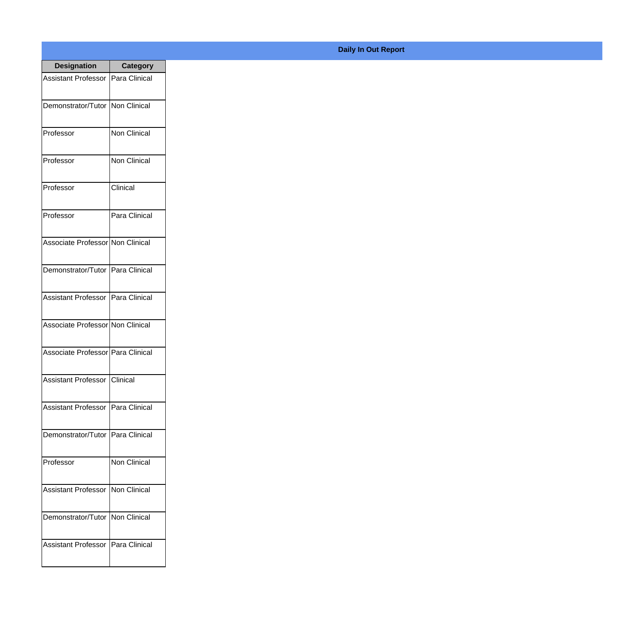| <b>Designation</b>                    | <b>Category</b> |
|---------------------------------------|-----------------|
| Assistant Professor   Para Clinical   |                 |
| Demonstrator/Tutor   Non Clinical     |                 |
| Professor                             | Non Clinical    |
| Professor                             | Non Clinical    |
| Professor                             | Clinical        |
| Professor                             | Para Clinical   |
| Associate Professor Non Clinical      |                 |
| Demonstrator/Tutor   Para Clinical    |                 |
| <b>Assistant Professor</b>            | Para Clinical   |
| Associate Professor Non Clinical      |                 |
| Associate Professor   Para Clinical   |                 |
| <b>Assistant Professor   Clinical</b> |                 |
| Assistant Professor   Para Clinical   |                 |
| Demonstrator/Tutor   Para Clinical    |                 |
| Professor                             | Non Clinical    |
| <b>Assistant Professor</b>            | Non Clinical    |
| Demonstrator/Tutor                    | Non Clinical    |
| Assistant Professor                   | Para Clinical   |

**Daily In Out Report**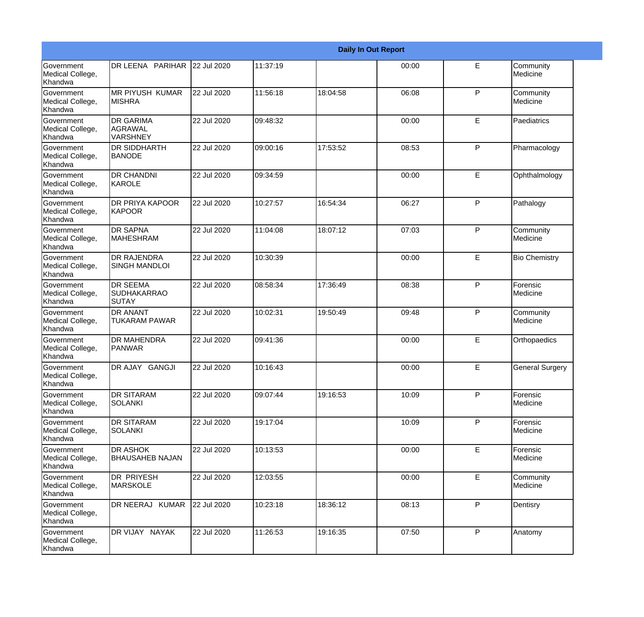|                                                  |                                                       |             |          |          | <b>Daily In Out Report</b> |   |                        |
|--------------------------------------------------|-------------------------------------------------------|-------------|----------|----------|----------------------------|---|------------------------|
| Government<br>Medical College,<br>Khandwa        | DR LEENA PARIHAR 22 Jul 2020                          |             | 11:37:19 |          | 00:00                      | E | Community<br>Medicine  |
| Government<br>Medical College,<br>Khandwa        | <b>IMR PIYUSH KUMAR</b><br><b>MISHRA</b>              | 22 Jul 2020 | 11:56:18 | 18:04:58 | 06:08                      | P | Community<br>Medicine  |
| Government<br>Medical College,<br>Khandwa        | <b>DR GARIMA</b><br>AGRAWAL<br><b>VARSHNEY</b>        | 22 Jul 2020 | 09:48:32 |          | 00:00                      | E | Paediatrics            |
| Government<br>Medical College,<br>Khandwa        | <b>IDR SIDDHARTH</b><br><b>BANODE</b>                 | 22 Jul 2020 | 09:00:16 | 17:53:52 | 08:53                      | P | Pharmacology           |
| Government<br>Medical College,<br>Khandwa        | <b>DR CHANDNI</b><br>KAROLE                           | 22 Jul 2020 | 09:34:59 |          | 00:00                      | E | Ophthalmology          |
| Government<br>Medical College,<br>Khandwa        | <b>IDR PRIYA KAPOOR</b><br>KAPOOR                     | 22 Jul 2020 | 10:27:57 | 16:54:34 | 06:27                      | P | Pathalogy              |
| Government<br>Medical College,<br>Khandwa        | <b>DR SAPNA</b><br><b>MAHESHRAM</b>                   | 22 Jul 2020 | 11:04:08 | 18:07:12 | 07:03                      | P | Community<br>Medicine  |
| Government<br>Medical College,<br>Khandwa        | <b>DR RAJENDRA</b><br><b>SINGH MANDLOI</b>            | 22 Jul 2020 | 10:30:39 |          | 00:00                      | E | <b>Bio Chemistry</b>   |
| Government<br>Medical College,<br>Khandwa        | <b>DR SEEMA</b><br><b>SUDHAKARRAO</b><br><b>SUTAY</b> | 22 Jul 2020 | 08:58:34 | 17:36:49 | 08:38                      | P | Forensic<br>Medicine   |
| <b>Government</b><br>Medical College,<br>Khandwa | <b>IDR ANANT</b><br><b>TUKARAM PAWAR</b>              | 22 Jul 2020 | 10:02:31 | 19:50:49 | 09:48                      | P | Community<br>Medicine  |
| Government<br>Medical College,<br>Khandwa        | <b>DR MAHENDRA</b><br><b>PANWAR</b>                   | 22 Jul 2020 | 09:41:36 |          | 00:00                      | E | Orthopaedics           |
| Government<br>Medical College,<br>Khandwa        | DR AJAY GANGJI                                        | 22 Jul 2020 | 10:16:43 |          | 00:00                      | E | <b>General Surgery</b> |
| Government<br>Medical College,<br>Khandwa        | <b>IDR SITARAM</b><br>SOLANKI                         | 22 Jul 2020 | 09:07:44 | 19:16:53 | 10:09                      | P | Forensic<br>Medicine   |
| Government<br>Medical College,<br>Khandwa        | <b>DR SITARAM</b><br>SOLANKI                          | 22 Jul 2020 | 19:17:04 |          | 10:09                      | P | Forensic<br>Medicine   |
| Government<br>Medical College,<br>Khandwa        | <b>DR ASHOK</b><br><b>BHAUSAHEB NAJAN</b>             | 22 Jul 2020 | 10:13:53 |          | 00:00                      | E | Forensic<br>Medicine   |
| Government<br>Medical College,<br>Khandwa        | DR PRIYESH<br>MARSKOLE                                | 22 Jul 2020 | 12:03:55 |          | 00:00                      | E | Community<br>Medicine  |
| Government<br>Medical College,<br>Khandwa        | DR NEERAJ KUMAR                                       | 22 Jul 2020 | 10:23:18 | 18:36:12 | 08:13                      | P | Dentisry               |
| Government<br>Medical College,<br>Khandwa        | DR VIJAY NAYAK                                        | 22 Jul 2020 | 11:26:53 | 19:16:35 | 07:50                      | P | Anatomy                |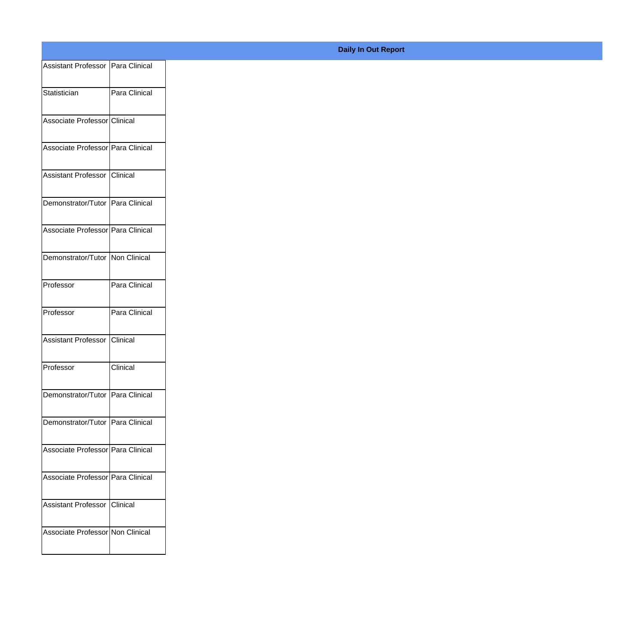| Assistant Professor   Para Clinical |               |
|-------------------------------------|---------------|
| Statistician                        | Para Clinical |
|                                     |               |
| Associate Professor Clinical        |               |
| Associate Professor Para Clinical   |               |
| Assistant Professor Clinical        |               |
| Demonstrator/Tutor Para Clinical    |               |
| Associate Professor Para Clinical   |               |
| Demonstrator/Tutor Non Clinical     |               |
| Professor                           | Para Clinical |
| Professor                           | Para Clinical |
| Assistant Professor Clinical        |               |
| Professor                           | Clinical      |
| Demonstrator/Tutor   Para Clinical  |               |
|                                     |               |
| Demonstrator/Tutor   Para Clinical  |               |
| Associate Professor Para Clinical   |               |
| Associate Professor Para Clinical   |               |
|                                     |               |
| Assistant Professor Clinical        |               |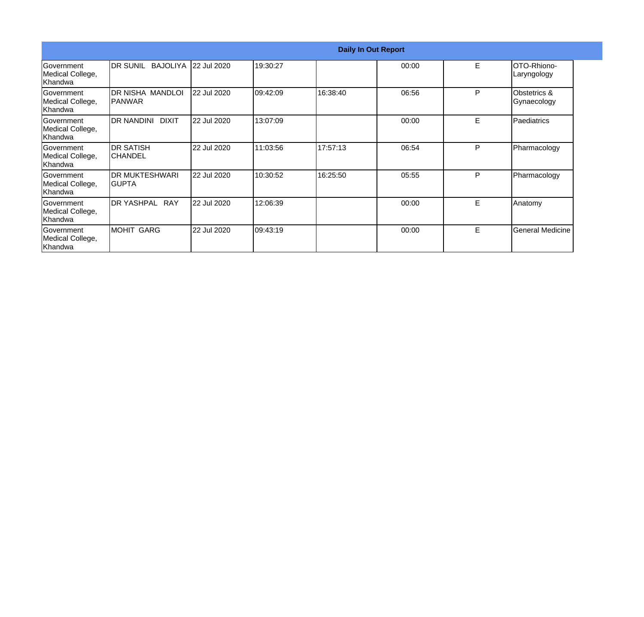|                                                   |                                   |             |           |          | <b>Daily In Out Report</b> |   |                                        |
|---------------------------------------------------|-----------------------------------|-------------|-----------|----------|----------------------------|---|----------------------------------------|
| <b>Government</b><br>Medical College,<br> Khandwa | DR SUNIL<br><b>BAJOLIYA</b>       | 22 Jul 2020 | 19:30:27  |          | 00:00                      | E | <b>IOTO-Rhiono-</b><br>Laryngology     |
| lGovernment<br>Medical College,<br>lKhandwa       | DR NISHA MANDLOI<br>IPANWAR       | 22 Jul 2020 | 109:42:09 | 16:38:40 | 06:56                      | P | <b>Obstetrics &amp;</b><br>Gynaecology |
| Government<br>Medical College,<br>Khandwa         | <b>DR NANDINI</b><br><b>DIXIT</b> | 22 Jul 2020 | 13:07:09  |          | 00:00                      | E | Paediatrics                            |
| Government<br>Medical College,<br>Khandwa         | <b>DR SATISH</b><br>ICHANDEL      | 22 Jul 2020 | 11:03:56  | 17:57:13 | 06:54                      | P | Pharmacology                           |
| Government<br>Medical College,<br>Khandwa         | <b>IDR MUKTESHWARI</b><br>IGUPTA  | 22 Jul 2020 | 10:30:52  | 16:25:50 | 05:55                      | P | Pharmacology                           |
| <b>Government</b><br>Medical College,<br>Khandwa  | DR YASHPAL RAY                    | 22 Jul 2020 | 12:06:39  |          | 00:00                      | E | Anatomy                                |
| Government<br>Medical College,<br>Khandwa         | MOHIT GARG                        | 22 Jul 2020 | 09:43:19  |          | 00:00                      | E | General Medicine                       |